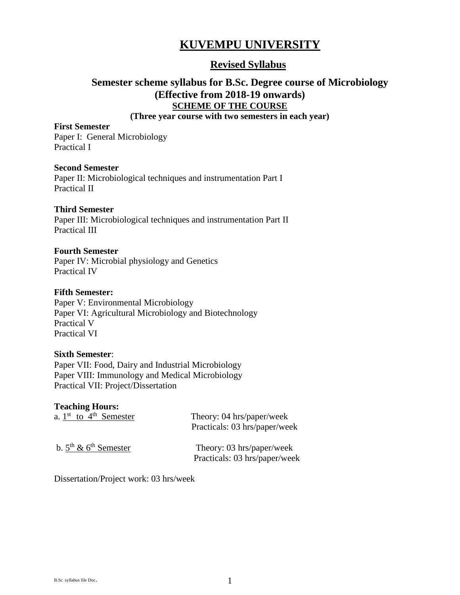# **KUVEMPU UNIVERSITY**

## **Revised Syllabus**

## **Semester scheme syllabus for B.Sc. Degree course of Microbiology (Effective from 2018-19 onwards) SCHEME OF THE COURSE**

## **(Three year course with two semesters in each year)**

#### **First Semester**

Paper I: General Microbiology Practical I

### **Second Semester**

Paper II: Microbiological techniques and instrumentation Part I Practical II

### **Third Semester**

Paper III: Microbiological techniques and instrumentation Part II Practical III

#### **Fourth Semester**

Paper IV: Microbial physiology and Genetics Practical IV

#### **Fifth Semester:**

Paper V: Environmental Microbiology Paper VI: Agricultural Microbiology and Biotechnology Practical V Practical VI

### **Sixth Semester**:

Paper VII: Food, Dairy and Industrial Microbiology Paper VIII: Immunology and Medical Microbiology Practical VII: Project/Dissertation

### **Teaching Hours:**

| a. $1st$ to $4th$ Semester      | Theory: 04 hrs/paper/week<br>Practicals: 03 hrs/paper/week |
|---------------------------------|------------------------------------------------------------|
| b. $5^{th}$ & $6^{th}$ Semester | Theory: 03 hrs/paper/week<br>Practicals: 03 hrs/paper/week |

Dissertation/Project work: 03 hrs/week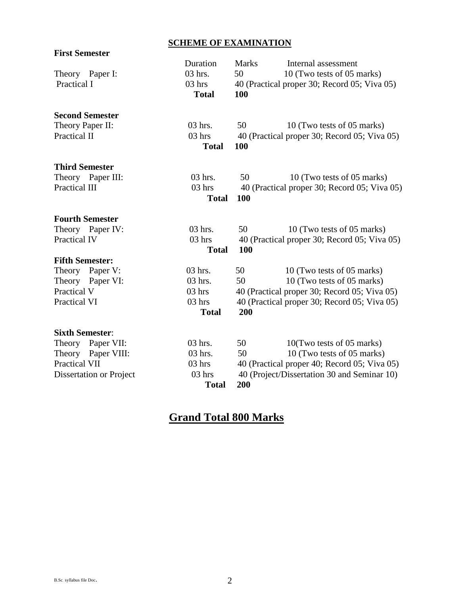## **SCHEME OF EXAMINATION**

| <b>First Semester</b>   |                          |              |                                              |
|-------------------------|--------------------------|--------------|----------------------------------------------|
|                         | Duration                 | <b>Marks</b> | Internal assessment                          |
| Theory Paper I:         | 03 hrs.                  | 50           | 10 (Two tests of 05 marks)                   |
| Practical I             | $03$ hrs<br><b>Total</b> | 100          | 40 (Practical proper 30; Record 05; Viva 05) |
| <b>Second Semester</b>  |                          |              |                                              |
| Theory Paper II:        | 03 hrs.                  | 50           | 10 (Two tests of 05 marks)                   |
| Practical II            | $03$ hrs<br><b>Total</b> | 100          | 40 (Practical proper 30; Record 05; Viva 05) |
| <b>Third Semester</b>   |                          |              |                                              |
| Theory Paper III:       | 03 hrs.                  | 50           | 10 (Two tests of 05 marks)                   |
| <b>Practical III</b>    | $03$ hrs                 |              | 40 (Practical proper 30; Record 05; Viva 05) |
|                         | <b>Total</b>             | 100          |                                              |
| <b>Fourth Semester</b>  |                          |              |                                              |
| Theory Paper IV:        | $03$ hrs.                | 50           | 10 (Two tests of 05 marks)                   |
| Practical IV            | $03$ hrs                 |              | 40 (Practical proper 30; Record 05; Viva 05) |
|                         | <b>Total</b>             | 100          |                                              |
| <b>Fifth Semester:</b>  |                          |              |                                              |
| Paper V:<br>Theory      | 03 hrs.                  | 50           | 10 (Two tests of 05 marks)                   |
| Theory Paper VI:        | 03 hrs.                  | 50           | 10 (Two tests of 05 marks)                   |
| Practical V             | $03$ hrs                 |              | 40 (Practical proper 30; Record 05; Viva 05) |
| Practical VI            | $03$ hrs                 |              | 40 (Practical proper 30; Record 05; Viva 05) |
|                         | <b>Total</b>             | 200          |                                              |
| <b>Sixth Semester:</b>  |                          |              |                                              |
| Paper VII:<br>Theory    | 03 hrs.                  | 50           | 10(Two tests of 05 marks)                    |
| Theory Paper VIII:      | 03 hrs.                  | 50           | 10 (Two tests of 05 marks)                   |
| Practical VII           | $03$ hrs                 |              | 40 (Practical proper 40; Record 05; Viva 05) |
| Dissertation or Project | $03$ hrs                 |              | 40 (Project/Dissertation 30 and Seminar 10)  |
|                         | <b>Total</b>             | 200          |                                              |

# **Grand Total 800 Marks**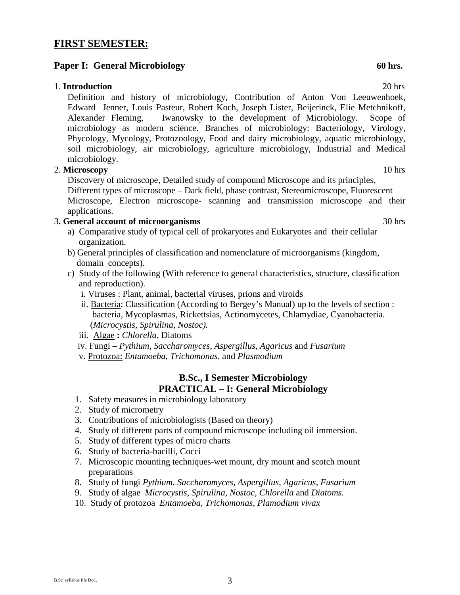## **FIRST SEMESTER:**

## **Paper I:** General Microbiology 60 hrs.

## 1. **Introduction** 20 hrs

Definition and history of microbiology, Contribution of Anton Von Leeuwenhoek, Edward Jenner, Louis Pasteur, Robert Koch, Joseph Lister, Beijerinck, Elie Metchnikoff, Alexander Fleming, Iwanowsky to the development of Microbiology. Scope of microbiology as modern science. Branches of microbiology: Bacteriology, Virology, Phycology, Mycology, Protozoology, Food and dairy microbiology, aquatic microbiology, soil microbiology, air microbiology, agriculture microbiology, Industrial and Medical microbiology.

## 2. **Microscopy** 10 hrs

Discovery of microscope, Detailed study of compound Microscope and its principles, Different types of microscope – Dark field, phase contrast, Stereomicroscope, Fluorescent Microscope, Electron microscope- scanning and transmission microscope and their applications.

## 3**. General account of microorganisms** 30 hrs

- a) Comparative study of typical cell of prokaryotes and Eukaryotes and their cellular organization.
- b) General principles of classification and nomenclature of microorganisms (kingdom, domain concepts).
- c) Study of the following (With reference to general characteristics, structure, classification and reproduction).
	- i. Viruses : Plant, animal, bacterial viruses, prions and viroids
	- ii. Bacteria: Classification (According to Bergey's Manual) up to the levels of section : bacteria, Mycoplasmas, Rickettsias, Actinomycetes, Chlamydiae, Cyanobacteria. (*Microcystis, Spirulina, Nostoc).*

iii. Algae **:** *Chlorella*, Diatoms

- iv. Fungi *Pythium, Saccharomyces, Aspergillus, Agaricus* and *Fusarium*
- v. Protozoa: *Entamoeba, Trichomonas,* and *Plasmodium*

## **B.Sc., I Semester Microbiology PRACTICAL – I: General Microbiology**

- 1. Safety measures in microbiology laboratory
- 2. Study of micrometry
- 3. Contributions of microbiologists (Based on theory)
- 4. Study of different parts of compound microscope including oil immersion.
- 5. Study of different types of micro charts
- 6. Study of bacteria-bacilli, Cocci
- 7. Microscopic mounting techniques-wet mount, dry mount and scotch mount preparations
- 8. Study of fungi *Pythium, Saccharomyces, Aspergillus, Agaricus, Fusarium*
- 9. Study of algae *Microcystis, Spirulina, Nostoc, Chlorella* and *Diatoms.*
- 10. Study of protozoa *Entamoeba, Trichomonas, Plamodium vivax*

B.Sc. syllabus file Doc. 3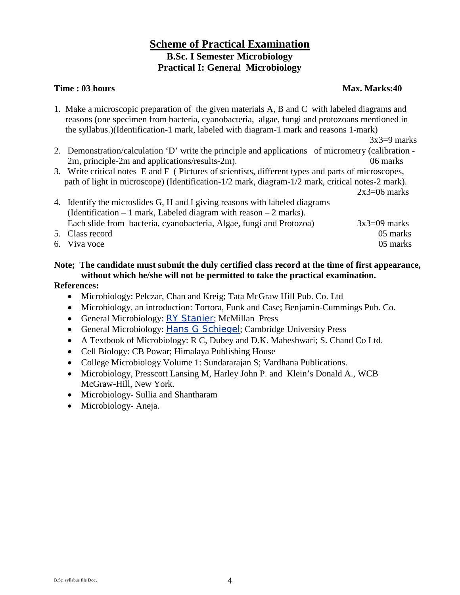## **Scheme of Practical Examination B.Sc. I Semester Microbiology Practical I: General Microbiology**

## **Time : 03 hours** Max. Marks:40

1. Make a microscopic preparation of the given materials A, B and C with labeled diagrams and reasons (one specimen from bacteria, cyanobacteria, algae, fungi and protozoans mentioned in the syllabus.)(Identification-1 mark, labeled with diagram-1 mark and reasons 1-mark)

 $3x3=9$  marks

- 2. Demonstration/calculation 'D' write the principle and applications of micrometry (calibration 2m, principle-2m and applications/results-2m). 06 marks
- 3. Write critical notes E and F ( Pictures of scientists, different types and parts of microscopes, path of light in microscope) (Identification-1/2 mark, diagram-1/2 mark, critical notes-2 mark).  $2x3=06$  marks

4. Identify the microslides G, H and I giving reasons with labeled diagrams (Identification – 1 mark, Labeled diagram with reason – 2 marks). Each slide from bacteria, cyanobacteria, Algae, fungi and Protozoa)  $3x3=09$  marks 5. Class record 05 marks 6. Viva voce 05 marks

# **Note; The candidate must submit the duly certified class record at the time of first appearance, without which he/she will not be permitted to take the practical examination.**

- Microbiology: Pelczar, Chan and Kreig; Tata McGraw Hill Pub. Co. Ltd
- Microbiology, an introduction: Tortora, Funk and Case; Benjamin-Cummings Pub. Co.
- General Microbiology: [RY Stanier](http://www.amazon.com/s/ref=ntt_athr_dp_sr_1?_encoding=UTF8&sort=relevancerank&search-alias=books&field-author=R.Y.%20Stanier); McMillan Press
- General Microbiology: [Hans G Schiegel](http://www.flipkart.com/author/hans-g-schiegel/); Cambridge University Press
- A Textbook of Microbiology: R C, Dubey and D.K. Maheshwari; S. Chand Co Ltd.
- Cell Biology: CB Powar; Himalaya Publishing House
- College Microbiology Volume 1: Sundararajan S; Vardhana Publications.
- Microbiology, Presscott Lansing M, Harley John P. and Klein's Donald A., WCB McGraw-Hill, New York.
- Microbiology- Sullia and Shantharam
- Microbiology-Aneja.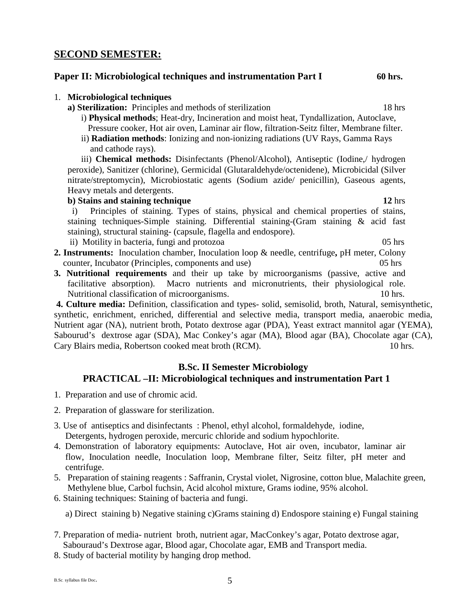## **SECOND SEMESTER:**

1. **Microbiological techniques**

## **Paper II: Microbiological techniques and instrumentation Part I 60 hrs.**

## Pressure cooker, Hot air oven, Laminar air flow, filtration-Seitz filter, Membrane filter.

ii) **Radiation methods**: Ionizing and non-ionizing radiations (UV Rays, Gamma Rays and cathode rays).

i) **Physical methods**; Heat-dry, Incineration and moist heat, Tyndallization, Autoclave,

iii) **Chemical methods:** Disinfectants (Phenol/Alcohol), Antiseptic (Iodine,/ hydrogen peroxide), Sanitizer (chlorine), Germicidal (Glutaraldehyde/octenidene), Microbicidal (Silver nitrate/streptomycin), Microbiostatic agents (Sodium azide/ penicillin), Gaseous agents, Heavy metals and detergents.

## **b**) **Stains and staining technique** 12 hrs

 i) Principles of staining. Types of stains, physical and chemical properties of stains, staining techniques-Simple staining. Differential staining-(Gram staining & acid fast staining), structural staining- (capsule, flagella and endospore).

ii) Motility in bacteria, fungi and protozoa 05 hrs

- **2. Instruments:** Inoculation chamber, Inoculation loop & needle, centrifuge**,** pH meter, Colony counter, Incubator (Principles, components and use) 05 hrs
- **3. Nutritional requirements** and their up take by microorganisms (passive, active and facilitative absorption). Macro nutrients and micronutrients, their physiological role. Nutritional classification of microorganisms. 10 hrs.

**4. Culture media:** Definition, classification and types- solid, semisolid, broth, Natural, semisynthetic, synthetic, enrichment, enriched, differential and selective media, transport media, anaerobic media, Nutrient agar (NA), nutrient broth, Potato dextrose agar (PDA), Yeast extract mannitol agar (YEMA), Sabourud's dextrose agar (SDA), Mac Conkey's agar (MA), Blood agar (BA), Chocolate agar (CA), Cary Blairs media, Robertson cooked meat broth (RCM). 10 hrs.

## **B.Sc. II Semester Microbiology PRACTICAL –II: Microbiological techniques and instrumentation Part 1**

- 1. Preparation and use of chromic acid.
- 2. Preparation of glassware for sterilization.
- 3. Use of antiseptics and disinfectants : Phenol, ethyl alcohol, formaldehyde, iodine, Detergents, hydrogen peroxide, mercuric chloride and sodium hypochlorite.
- 4. Demonstration of laboratory equipments: Autoclave, Hot air oven, incubator, laminar air flow, Inoculation needle, Inoculation loop, Membrane filter, Seitz filter, pH meter and centrifuge.
- 5. Preparation of staining reagents : Saffranin, Crystal violet, Nigrosine, cotton blue, Malachite green, Methylene blue, Carbol fuchsin, Acid alcohol mixture, Grams iodine, 95% alcohol.
- 6. Staining techniques: Staining of bacteria and fungi.

a) Direct staining b) Negative staining c)Grams staining d) Endospore staining e) Fungal staining

- 7. Preparation of media- nutrient broth, nutrient agar, MacConkey's agar, Potato dextrose agar, Sabouraud's Dextrose agar, Blood agar, Chocolate agar, EMB and Transport media.
- 8. Study of bacterial motility by hanging drop method.

**a) Sterilization:** Principles and methods of sterilization 18 hrs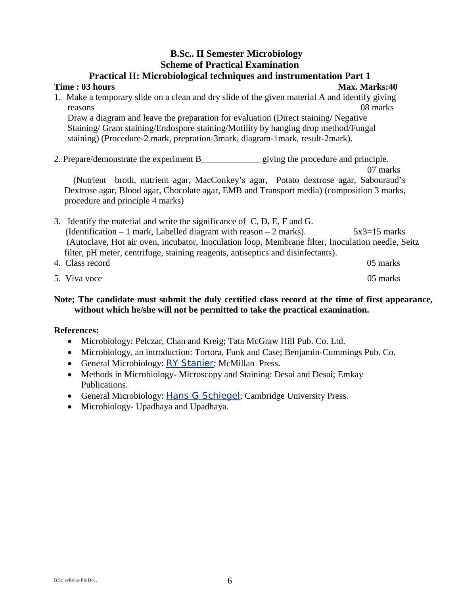## **B.Sc.. II Semester Microbiology Scheme of Practical Examination**

| <b>Practical II: Microbiological techniques and instrumentation Part 1</b>                                                                                                                                                                                                                                                                                                                 |
|--------------------------------------------------------------------------------------------------------------------------------------------------------------------------------------------------------------------------------------------------------------------------------------------------------------------------------------------------------------------------------------------|
| Time: 03 hours<br><b>Max. Marks:40</b>                                                                                                                                                                                                                                                                                                                                                     |
| 1. Make a temporary slide on a clean and dry slide of the given material A and identify giving                                                                                                                                                                                                                                                                                             |
| 08 marks<br>reasons                                                                                                                                                                                                                                                                                                                                                                        |
| Draw a diagram and leave the preparation for evaluation (Direct staining/Negative                                                                                                                                                                                                                                                                                                          |
| Staining/Gram staining/Endospore staining/Motility by hanging drop method/Fungal                                                                                                                                                                                                                                                                                                           |
| staining) (Procedure-2 mark, prepration-3mark, diagram-1mark, result-2mark).                                                                                                                                                                                                                                                                                                               |
| 2. Prepare/demonstrate the experiment B giving the procedure and principle.<br>07 marks<br>(Nutrient broth, nutrient agar, MacConkey's agar, Potato dextrose agar, Sabouraud's<br>Dextrose agar, Blood agar, Chocolate agar, EMB and Transport media) (composition 3 marks,<br>procedure and principle 4 marks)                                                                            |
| 3. Identify the material and write the significance of C, D, E, F and G.<br>(Identification $-1$ mark, Labelled diagram with reason $-2$ marks).<br>$5x3=15$ marks<br>(Autoclave, Hot air oven, incubator, Inoculation loop, Membrane filter, Inoculation needle, Seitz<br>filter, pH meter, centrifuge, staining reagents, antiseptics and disinfectants).<br>4. Class record<br>05 marks |

5. Viva voce 05 marks

## **Note; The candidate must submit the duly certified class record at the time of first appearance, without which he/she will not be permitted to take the practical examination.**

- Microbiology: Pelczar, Chan and Kreig; Tata McGraw Hill Pub. Co. Ltd.
- Microbiology, an introduction: Tortora, Funk and Case; Benjamin-Cummings Pub. Co.
- General Microbiology: [RY Stanier](http://www.amazon.com/s/ref=ntt_athr_dp_sr_1?_encoding=UTF8&sort=relevancerank&search-alias=books&field-author=R.Y.%20Stanier); McMillan Press.
- Methods in Microbiology- Microscopy and Staining: Desai and Desai; Emkay Publications.
- General Microbiology: [Hans G Schiegel](http://www.flipkart.com/author/hans-g-schiegel/); Cambridge University Press.
- Microbiology- Upadhaya and Upadhaya.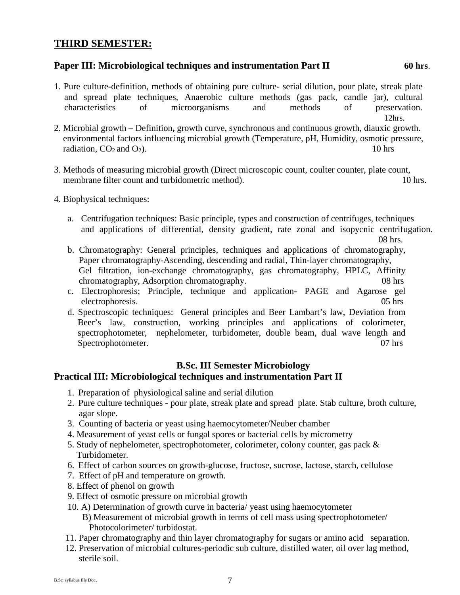## **THIRD SEMESTER:**

## **Paper III: Microbiological techniques and instrumentation Part II 60 hrs.**

1. Pure culture-definition, methods of obtaining pure culture- serial dilution, pour plate, streak plate and spread plate techniques, Anaerobic culture methods (gas pack, candle jar), cultural characteristics of microorganisms and methods of preservation.

12hrs.

- 2. Microbial growth **–** Definition**,** growth curve, synchronous and continuous growth, diauxic growth. environmental factors influencing microbial growth (Temperature, pH, Humidity, osmotic pressure, radiation,  $CO_2$  and  $O_2$ ). 10 hrs
- 3. Methods of measuring microbial growth (Direct microscopic count, coulter counter, plate count, membrane filter count and turbidometric method). 10 hrs.
- 4. Biophysical techniques:
	- a. Centrifugation techniques: Basic principle, types and construction of centrifuges, techniques and applications of differential, density gradient, rate zonal and isopycnic centrifugation. 08 hrs.
	- b. Chromatography: General principles, techniques and applications of chromatography, Paper chromatography-Ascending, descending and radial, Thin-layer chromatography, Gel filtration, ion-exchange chromatography, gas chromatography, HPLC, Affinity chromatography, Adsorption chromatography. 08 hrs
	- c. Electrophoresis; Principle, technique and application- PAGE and Agarose gel electrophoresis. 05 hrs
	- d. Spectroscopic techniques: General principles and Beer Lambart's law, Deviation from Beer's law, construction, working principles and applications of colorimeter, spectrophotometer, nephelometer, turbidometer, double beam, dual wave length and Spectrophotometer. 07 hrs

## **B.Sc. III Semester Microbiology**

## **Practical III: Microbiological techniques and instrumentation Part II**

- 1. Preparation of physiological saline and serial dilution
- 2. Pure culture techniques pour plate, streak plate and spread plate. Stab culture, broth culture, agar slope.
- 3. Counting of bacteria or yeast using haemocytometer/Neuber chamber
- 4. Measurement of yeast cells or fungal spores or bacterial cells by micrometry
- 5. Study of nephelometer, spectrophotometer, colorimeter, colony counter, gas pack & Turbidometer.
- 6. Effect of carbon sources on growth-glucose, fructose, sucrose, lactose, starch, cellulose
- 7. Effect of pH and temperature on growth.
- 8. Effect of phenol on growth
- 9. Effect of osmotic pressure on microbial growth
- 10. A) Determination of growth curve in bacteria/ yeast using haemocytometer
	- B) Measurement of microbial growth in terms of cell mass using spectrophotometer/ Photocolorimeter/ turbidostat.
- 11. Paper chromatography and thin layer chromatography for sugars or amino acid separation.
- 12. Preservation of microbial cultures-periodic sub culture, distilled water, oil over lag method, sterile soil.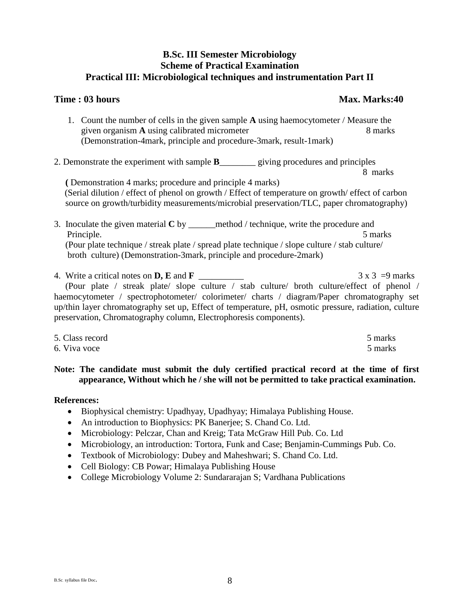## **B.Sc. III Semester Microbiology Scheme of Practical Examination Practical III: Microbiological techniques and instrumentation Part II**

## **Time : 03 hours Max. Marks:40**

8 marks

- 1. Count the number of cells in the given sample **A** using haemocytometer / Measure the given organism **A** using calibrated micrometer 8 marks (Demonstration-4mark, principle and procedure-3mark, result-1mark)
- 2. Demonstrate the experiment with sample **B**<br>giving procedures and principles

 **(** Demonstration 4 marks; procedure and principle 4 marks) (Serial dilution / effect of phenol on growth / Effect of temperature on growth/ effect of carbon source on growth/turbidity measurements/microbial preservation/TLC, paper chromatography)

3. Inoculate the given material **C** by \_\_\_\_\_\_method / technique, write the procedure and Principle. 5 marks (Pour plate technique / streak plate / spread plate technique / slope culture / stab culture/ broth culture) (Demonstration-3mark, principle and procedure-2mark)

4. Write a critical notes on **D, E** and **F** \_\_\_\_\_\_\_\_\_\_ 3 x 3 =9 marks (Pour plate / streak plate/ slope culture / stab culture/ broth culture/effect of phenol / haemocytometer / spectrophotometer/ colorimeter/ charts / diagram/Paper chromatography set up/thin layer chromatography set up, Effect of temperature, pH, osmotic pressure, radiation, culture preservation, Chromatography column, Electrophoresis components).

5. Class record 5 marks 6. Viva voce 5 marks 5 marks 5 marks 5 marks 5 marks 5 marks 5 marks 5 marks 5 marks 5 marks 5 marks 5 marks 5 marks 5 marks 5 marks 5 marks 5 marks 5 marks 5 marks 5 marks 5 marks 5 marks 5 marks 5 marks 5 marks 5 marks 5

## **Note: The candidate must submit the duly certified practical record at the time of first appearance, Without which he / she will not be permitted to take practical examination.**

- Biophysical chemistry: Upadhyay, Upadhyay; Himalaya Publishing House.
- An introduction to Biophysics: PK Banerjee; S. Chand Co. Ltd.
- Microbiology: Pelczar, Chan and Kreig; Tata McGraw Hill Pub. Co. Ltd
- Microbiology, an introduction: Tortora, Funk and Case; Benjamin-Cummings Pub. Co.
- Textbook of Microbiology: Dubey and Maheshwari; S. Chand Co. Ltd.
- Cell Biology: CB Powar; Himalaya Publishing House
- College Microbiology Volume 2: Sundararajan S; Vardhana Publications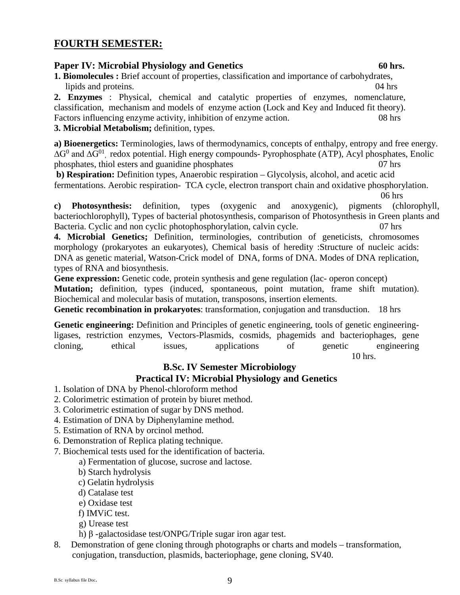## **FOURTH SEMESTER:**

## **Paper IV: Microbial Physiology and Genetics** 60 hrs.

**1. Biomolecules :** Brief account of properties, classification and importance of carbohydrates, lipids and proteins. 04 hrs

**2. Enzymes** : Physical, chemical and catalytic properties of enzymes, nomenclature, classification, mechanism and models of enzyme action (Lock and Key and Induced fit theory). Factors influencing enzyme activity, inhibition of enzyme action. 08 hrs

## **3. Microbial Metabolism;** definition, types.

**a) Bioenergetics:** Terminologies, laws of thermodynamics, concepts of enthalpy, entropy and free energy. ∆G<sup>0</sup> and ∆G<sup>01</sup>, redox potential. High energy compounds- Pyrophosphate (ATP), Acyl phosphates, Enolic phosphates, thiol esters and guanidine phosphates 07 hrs

**b) Respiration:** Definition types, Anaerobic respiration – Glycolysis, alcohol, and acetic acid fermentations. Aerobic respiration- TCA cycle, electron transport chain and oxidative phosphorylation.

06 hrs

**c) Photosynthesis:** definition, types (oxygenic and anoxygenic), pigments (chlorophyll, bacteriochlorophyll), Types of bacterial photosynthesis, comparison of Photosynthesis in Green plants and Bacteria. Cyclic and non cyclic photophosphorylation, calvin cycle. 07 hrs

**4. Microbial Genetics;** Definition, terminologies, contribution of geneticists, chromosomes morphology (prokaryotes an eukaryotes), Chemical basis of heredity :Structure of nucleic acids: DNA as genetic material, Watson-Crick model of DNA, forms of DNA. Modes of DNA replication, types of RNA and biosynthesis.

Gene expression: Genetic code, protein synthesis and gene regulation (lac- operon concept) **Mutation;** definition, types (induced, spontaneous, point mutation, frame shift mutation). Biochemical and molecular basis of mutation, transposons, insertion elements.

**Genetic recombination in prokaryotes**: transformation, conjugation and transduction. 18 hrs

**Genetic engineering:** Definition and Principles of genetic engineering, tools of genetic engineeringligases, restriction enzymes, Vectors-Plasmids, cosmids, phagemids and bacteriophages, gene cloning, ethical issues, applications of genetic engineering 10 hrs.

## **B.Sc. IV Semester Microbiology**

## **Practical IV: Microbial Physiology and Genetics**

- 1. Isolation of DNA by Phenol-chloroform method
- 2. Colorimetric estimation of protein by biuret method.
- 3. Colorimetric estimation of sugar by DNS method.
- 4. Estimation of DNA by Diphenylamine method.
- 5. Estimation of RNA by orcinol method.
- 6. Demonstration of Replica plating technique.
- 7. Biochemical tests used for the identification of bacteria.

a) Fermentation of glucose, sucrose and lactose.

- b) Starch hydrolysis
- c) Gelatin hydrolysis
- d) Catalase test
- e) Oxidase test
- f) IMViC test.
- g) Urease test
- h) β -galactosidase test/ONPG/Triple sugar iron agar test.
- 8. Demonstration of gene cloning through photographs or charts and models transformation, conjugation, transduction, plasmids, bacteriophage, gene cloning, SV40.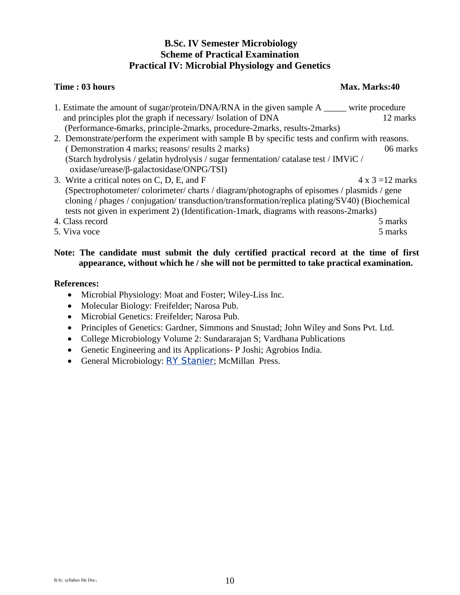## **B.Sc. IV Semester Microbiology Scheme of Practical Examination Practical IV: Microbial Physiology and Genetics**

## **Time : 03 hours** Max. Marks:40

1. Estimate the amount of sugar/protein/DNA/RNA in the given sample A \_\_\_\_\_ write procedure and principles plot the graph if necessary/ Isolation of DNA 12 marks (Performance-6marks, principle-2marks, procedure-2marks, results-2marks) 2. Demonstrate/perform the experiment with sample B by specific tests and confirm with reasons. ( Demonstration 4 marks; reasons/ results 2 marks) 06 marks (Starch hydrolysis / gelatin hydrolysis / sugar fermentation/ catalase test / IMViC / oxidase/urease/β-galactosidase/ONPG/TSI) 3. Write a critical notes on C, D, E, and F  $4 \times 3 = 12$  marks (Spectrophotometer/ colorimeter/ charts / diagram/photographs of episomes / plasmids / gene cloning / phages / conjugation/ transduction/transformation/replica plating/SV40) (Biochemical tests not given in experiment 2) (Identification-1mark, diagrams with reasons-2marks) 4. Class record 5 marks 5. Viva voce 5 marks 5 marks 5 marks 5 marks 5 marks 5 marks 5 marks 5 marks 5 marks 5 marks 5 marks 5 marks 5 marks 5 marks 5 marks 5 marks 5 marks 5 marks 5 marks 5 marks 5 marks 5 marks 5 marks 5 marks 5 marks 5 marks 5

## **Note: The candidate must submit the duly certified practical record at the time of first appearance, without which he / she will not be permitted to take practical examination.**

- Microbial Physiology: Moat and Foster; Wiley-Liss Inc.
- Molecular Biology: Freifelder; Narosa Pub.
- Microbial Genetics: Freifelder; Narosa Pub.
- Principles of Genetics: Gardner, Simmons and Snustad; John Wiley and Sons Pvt. Ltd.
- College Microbiology Volume 2: Sundararajan S; Vardhana Publications
- Genetic Engineering and its Applications- P Joshi; Agrobios India.
- General Microbiology: [RY Stanier](http://www.amazon.com/s/ref=ntt_athr_dp_sr_1?_encoding=UTF8&sort=relevancerank&search-alias=books&field-author=R.Y.%20Stanier); McMillan Press.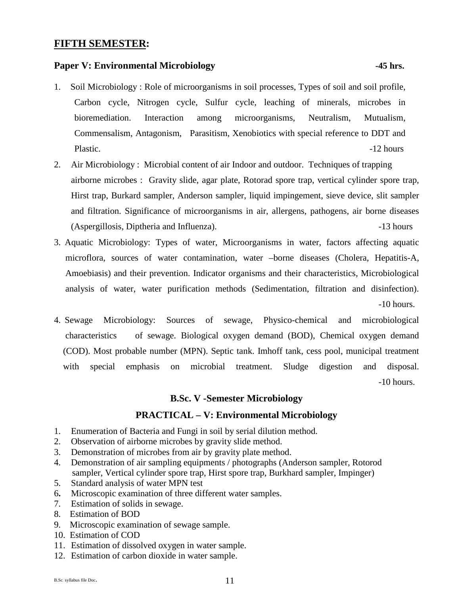## **FIFTH SEMESTER:**

## **Paper V: Environmental Microbiology** -45 hrs.

- 1. Soil Microbiology : Role of microorganisms in soil processes, Types of soil and soil profile, Carbon cycle, Nitrogen cycle, Sulfur cycle, leaching of minerals, microbes in bioremediation. Interaction among microorganisms, Neutralism, Mutualism, Commensalism, Antagonism, Parasitism, Xenobiotics with special reference to DDT and Plastic.  $-12$  hours
- 2. Air Microbiology : Microbial content of air Indoor and outdoor. Techniques of trapping airborne microbes : Gravity slide, agar plate, Rotorad spore trap, vertical cylinder spore trap, Hirst trap, Burkard sampler, Anderson sampler, liquid impingement, sieve device, slit sampler and filtration. Significance of microorganisms in air, allergens, pathogens, air borne diseases (Aspergillosis, Diptheria and Influenza). -13 hours
- 3. Aquatic Microbiology: Types of water, Microorganisms in water, factors affecting aquatic microflora, sources of water contamination, water –borne diseases (Cholera, Hepatitis-A, Amoebiasis) and their prevention. Indicator organisms and their characteristics, Microbiological analysis of water, water purification methods (Sedimentation, filtration and disinfection). -10 hours.
- 4. Sewage Microbiology: Sources of sewage, Physico-chemical and microbiological characteristics of sewage. Biological oxygen demand (BOD), Chemical oxygen demand (COD). Most probable number (MPN). Septic tank. Imhoff tank, cess pool, municipal treatment with special emphasis on microbial treatment. Sludge digestion and disposal. -10 hours.

### **B.Sc. V -Semester Microbiology**

## **PRACTICAL – V: Environmental Microbiology**

- 1. Enumeration of Bacteria and Fungi in soil by serial dilution method.
- 2. Observation of airborne microbes by gravity slide method.
- 3. Demonstration of microbes from air by gravity plate method.
- 4. Demonstration of air sampling equipments / photographs (Anderson sampler, Rotorod sampler, Vertical cylinder spore trap, Hirst spore trap, Burkhard sampler, Impinger)
- 5. Standard analysis of water MPN test
- 6**.** Microscopic examination of three different water samples.
- 7. Estimation of solids in sewage.
- 8. Estimation of BOD
- 9. Microscopic examination of sewage sample.
- 10. Estimation of COD
- 11. Estimation of dissolved oxygen in water sample.
- 12. Estimation of carbon dioxide in water sample.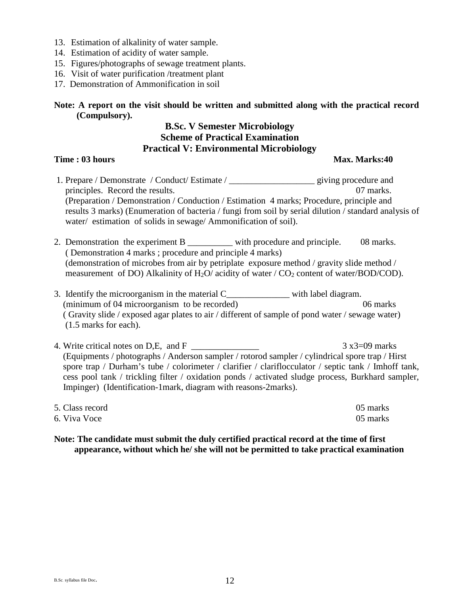- 13. Estimation of alkalinity of water sample.
- 14. Estimation of acidity of water sample.
- 15. Figures/photographs of sewage treatment plants.
- 16. Visit of water purification /treatment plant
- 17. Demonstration of Ammonification in soil

## **Note: A report on the visit should be written and submitted along with the practical record (Compulsory).**

## **B.Sc. V Semester Microbiology Scheme of Practical Examination Practical V: Environmental Microbiology**

## **Time : 03 hours** Max. Marks:40

- 1. Prepare / Demonstrate / Conduct/ Estimate / \_\_\_\_\_\_\_\_\_\_\_\_\_\_\_\_\_\_\_ giving procedure and principles. Record the results. 07 marks. (Preparation / Demonstration / Conduction / Estimation 4 marks; Procedure, principle and results 3 marks) (Enumeration of bacteria / fungi from soil by serial dilution / standard analysis of water/ estimation of solids in sewage/ Ammonification of soil).
- 2. Demonstration the experiment B \_\_\_\_\_\_\_\_\_\_ with procedure and principle. 08 marks. ( Demonstration 4 marks ; procedure and principle 4 marks) (demonstration of microbes from air by petriplate exposure method / gravity slide method / measurement of DO) Alkalinity of  $H_2O$ / acidity of water /  $CO_2$  content of water/BOD/COD).
- 3. Identify the microorganism in the material C with label diagram. (minimum of 04 microorganism to be recorded) 06 marks ( Gravity slide / exposed agar plates to air / different of sample of pond water / sewage water) (1.5 marks for each).
- 4. Write critical notes on D,E, and F  $3 \times 3 = 09$  marks (Equipments / photographs / Anderson sampler / rotorod sampler / cylindrical spore trap / Hirst spore trap / Durham's tube / colorimeter / clarifier / clariflocculator / septic tank / Imhoff tank, cess pool tank / trickling filter / oxidation ponds / activated sludge process, Burkhard sampler, Impinger) (Identification-1mark, diagram with reasons-2marks).

| 5. Class record | 05 marks |
|-----------------|----------|
| 6. Viva Voce    | 05 marks |

**Note: The candidate must submit the duly certified practical record at the time of first appearance, without which he/ she will not be permitted to take practical examination**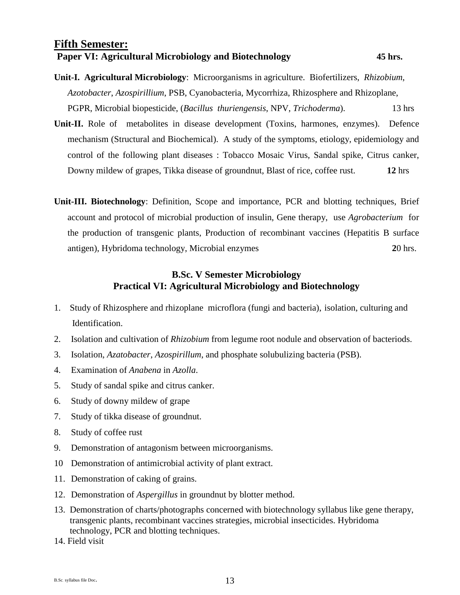## **Fifth Semester: Paper VI: Agricultural Microbiology and Biotechnology 45 hrs.**

- **Unit-I. Agricultural Microbiology**: Microorganisms in agriculture. Biofertilizers, *Rhizobium*, *Azotobacter*, *Azospirillium*, PSB, Cyanobacteria, Mycorrhiza, Rhizosphere and Rhizoplane, PGPR, Microbial biopesticide, (*Bacillus thuriengensis*, NPV, *Trichoderma*). 13 hrs
- **Unit-II.** Role of metabolites in disease development (Toxins, harmones, enzymes). Defence mechanism (Structural and Biochemical). A study of the symptoms, etiology, epidemiology and control of the following plant diseases : Tobacco Mosaic Virus, Sandal spike, Citrus canker, Downy mildew of grapes, Tikka disease of groundnut, Blast of rice, coffee rust. **12** hrs
- **Unit-III. Biotechnology**: Definition, Scope and importance, PCR and blotting techniques, Brief account and protocol of microbial production of insulin, Gene therapy, use *Agrobacterium* for the production of transgenic plants, Production of recombinant vaccines (Hepatitis B surface antigen), Hybridoma technology, Microbial enzymes **2**0 hrs.

## **B.Sc. V Semester Microbiology Practical VI: Agricultural Microbiology and Biotechnology**

- 1. Study of Rhizosphere and rhizoplane microflora (fungi and bacteria), isolation, culturing and Identification.
- 2. Isolation and cultivation of *Rhizobium* from legume root nodule and observation of bacteriods.
- 3. Isolation, *Azatobacter*, *Azospirillum*, and phosphate solubulizing bacteria (PSB).
- 4. Examination of *Anabena* in *Azolla*.
- 5. Study of sandal spike and citrus canker.
- 6. Study of downy mildew of grape
- 7. Study of tikka disease of groundnut.
- 8. Study of coffee rust
- 9. Demonstration of antagonism between microorganisms.
- 10 Demonstration of antimicrobial activity of plant extract.
- 11. Demonstration of caking of grains.
- 12. Demonstration of *Aspergillus* in groundnut by blotter method.
- 13. Demonstration of charts/photographs concerned with biotechnology syllabus like gene therapy, transgenic plants, recombinant vaccines strategies, microbial insecticides. Hybridoma technology, PCR and blotting techniques.
- 14. Field visit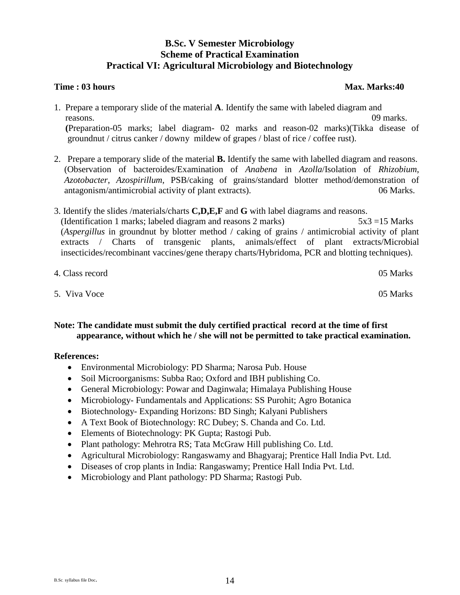## **B.Sc. V Semester Microbiology Scheme of Practical Examination Practical VI: Agricultural Microbiology and Biotechnology**

### **Time : 03 hours** Max. Marks:40

- 1. Prepare a temporary slide of the material **A**. Identify the same with labeled diagram and reasons. 09 marks.  **(**Preparation-05 marks; label diagram- 02 marks and reason-02 marks)(Tikka disease of groundnut / citrus canker / downy mildew of grapes / blast of rice / coffee rust).
- 2. Prepare a temporary slide of the material **B.** Identify the same with labelled diagram and reasons. (Observation of bacteroides/Examination of *Anabena* in *Azolla*/Isolation of *Rhizobium*, *Azotobacter*, *Azospirillum*, PSB/caking of grains/standard blotter method/demonstration of antagonism/antimicrobial activity of plant extracts). 06 Marks.
- 3. Identify the slides /materials/charts **C,D,E,F** and **G** with label diagrams and reasons. (Identification 1 marks; labeled diagram and reasons 2 marks) 5x3 =15 Marks (*Aspergillus* in groundnut by blotter method / caking of grains / antimicrobial activity of plant extracts / Charts of transgenic plants, animals/effect of plant extracts/Microbial insecticides/recombinant vaccines/gene therapy charts/Hybridoma, PCR and blotting techniques).

| 4. Class record | 05 Marks |
|-----------------|----------|
| 5. Viva Voce    | 05 Marks |

## **Note: The candidate must submit the duly certified practical record at the time of first appearance, without which he / she will not be permitted to take practical examination.**

- Environmental Microbiology: PD Sharma; Narosa Pub. House
- Soil Microorganisms: Subba Rao; Oxford and IBH publishing Co.
- General Microbiology: Powar and Daginwala; Himalaya Publishing House
- Microbiology- Fundamentals and Applications: SS Purohit; Agro Botanica
- Biotechnology- Expanding Horizons: BD Singh; Kalyani Publishers
- A Text Book of Biotechnology: RC Dubey; S. Chanda and Co. Ltd.
- Elements of Biotechnology: PK Gupta; Rastogi Pub.
- Plant pathology: Mehrotra RS; Tata McGraw Hill publishing Co. Ltd.
- Agricultural Microbiology: Rangaswamy and Bhagyaraj; Prentice Hall India Pvt. Ltd.
- Diseases of crop plants in India: Rangaswamy; Prentice Hall India Pvt. Ltd.
- Microbiology and Plant pathology: PD Sharma; Rastogi Pub.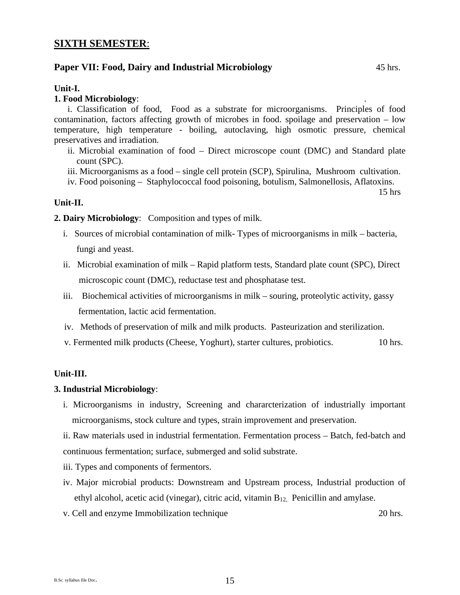## **SIXTH SEMESTER**:

#### **Paper VII: Food, Dairy and Industrial Microbiology** 45 hrs.

#### **Unit-I.**

#### **1. Food Microbiology**: .

i. Classification of food, Food as a substrate for microorganisms. Principles of food contamination, factors affecting growth of microbes in food. spoilage and preservation – low temperature, high temperature - boiling, autoclaving, high osmotic pressure, chemical preservatives and irradiation.

- ii. Microbial examination of food Direct microscope count (DMC) and Standard plate count (SPC).
- iii. Microorganisms as a food single cell protein (SCP), Spirulina, Mushroom cultivation.
- iv. Food poisoning Staphylococcal food poisoning, botulism, Salmonellosis, Aflatoxins.

15 hrs

#### **Unit-II.**

**2. Dairy Microbiology**: Composition and types of milk.

- i. Sources of microbial contamination of milk- Types of microorganisms in milk bacteria, fungi and yeast.
- ii. Microbial examination of milk Rapid platform tests, Standard plate count (SPC), Direct microscopic count (DMC), reductase test and phosphatase test.
- iii. Biochemical activities of microorganisms in milk souring, proteolytic activity, gassy fermentation, lactic acid fermentation.
- iv. Methods of preservation of milk and milk products. Pasteurization and sterilization.
- v. Fermented milk products (Cheese, Yoghurt), starter cultures, probiotics. 10 hrs.

#### **Unit-III.**

#### **3. Industrial Microbiology**:

i. Microorganisms in industry, Screening and chararcterization of industrially important microorganisms, stock culture and types, strain improvement and preservation.

ii. Raw materials used in industrial fermentation. Fermentation process – Batch, fed-batch and continuous fermentation; surface, submerged and solid substrate.

- iii. Types and components of fermentors.
- iv. Major microbial products: Downstream and Upstream process, Industrial production of ethyl alcohol, acetic acid (vinegar), citric acid, vitamin B12, Penicillin and amylase.
- v. Cell and enzyme Immobilization technique 20 hrs.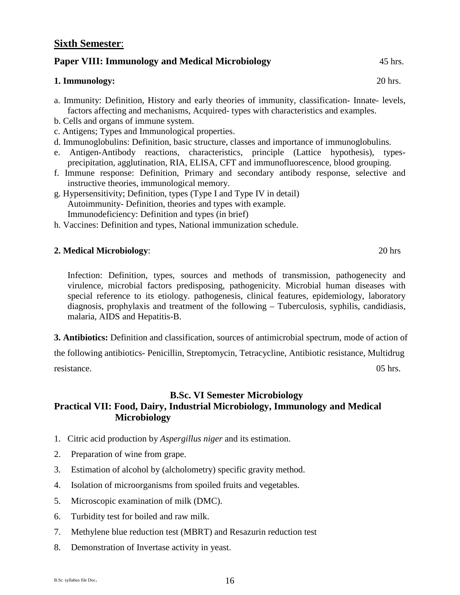#### **Sixth Semester**:

#### **Paper VIII: Immunology and Medical Microbiology** 45 hrs.

#### **1. Immunology:** 20 hrs.

- a. Immunity: Definition, History and early theories of immunity, classification- Innate- levels, factors affecting and mechanisms, Acquired- types with characteristics and examples.
- b. Cells and organs of immune system.
- c. Antigens; Types and Immunological properties.
- d. Immunoglobulins: Definition, basic structure, classes and importance of immunoglobulins.
- e. Antigen-Antibody reactions, characteristics, principle (Lattice hypothesis), typesprecipitation, agglutination, RIA, ELISA, CFT and immunofluorescence, blood grouping.
- f. Immune response: Definition, Primary and secondary antibody response, selective and instructive theories, immunological memory.
- g. Hypersensitivity; Definition, types (Type I and Type IV in detail) Autoimmunity- Definition, theories and types with example. Immunodeficiency: Definition and types (in brief)
- h. Vaccines: Definition and types, National immunization schedule.

#### **2. Medical Microbiology**: 20 hrs

Infection: Definition, types, sources and methods of transmission, pathogenecity and virulence, microbial factors predisposing, pathogenicity. Microbial human diseases with special reference to its etiology. pathogenesis, clinical features, epidemiology, laboratory diagnosis, prophylaxis and treatment of the following – Tuberculosis*,* syphilis, candidiasis, malaria, AIDS and Hepatitis-B.

**3. Antibiotics:** Definition and classification, sources of antimicrobial spectrum, mode of action of

the following antibiotics- Penicillin, Streptomycin, Tetracycline, Antibiotic resistance, Multidrug resistance. 05 hrs.

## **B.Sc. VI Semester Microbiology Practical VII: Food, Dairy, Industrial Microbiology, Immunology and Medical Microbiology**

- 1. Citric acid production by *Aspergillus niger* and its estimation.
- 2. Preparation of wine from grape.
- 3. Estimation of alcohol by (alcholometry) specific gravity method.
- 4. Isolation of microorganisms from spoiled fruits and vegetables.
- 5. Microscopic examination of milk (DMC).
- 6. Turbidity test for boiled and raw milk.
- 7. Methylene blue reduction test (MBRT) and Resazurin reduction test
- 8. Demonstration of Invertase activity in yeast.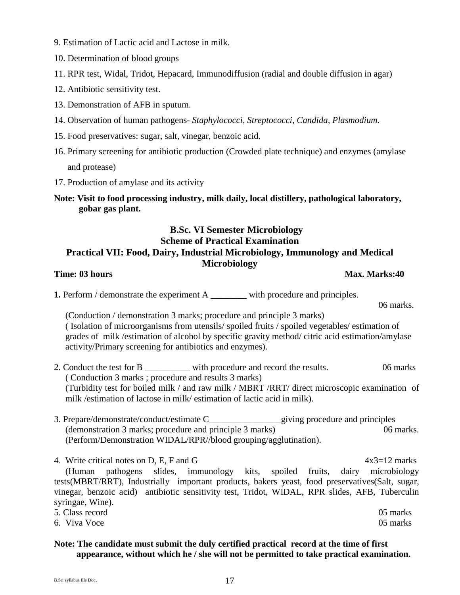- 9. Estimation of Lactic acid and Lactose in milk.
- 10. Determination of blood groups
- 11. RPR test, Widal, Tridot, Hepacard, Immunodiffusion (radial and double diffusion in agar)
- 12. Antibiotic sensitivity test.
- 13. Demonstration of AFB in sputum.
- 14. Observation of human pathogens- *Staphylococci, Streptococci, Candida, Plasmodium.*
- 15. Food preservatives: sugar, salt, vinegar, benzoic acid.
- 16. Primary screening for antibiotic production (Crowded plate technique) and enzymes (amylase and protease)
- 17. Production of amylase and its activity
- **Note: Visit to food processing industry, milk daily, local distillery, pathological laboratory, gobar gas plant.**

## **B.Sc. VI Semester Microbiology Scheme of Practical Examination Practical VII: Food, Dairy, Industrial Microbiology, Immunology and Medical Microbiology**

**Time: 03 hours Max. Marks:40** 

06 marks.

**1.** Perform / demonstrate the experiment A with procedure and principles.

(Conduction / demonstration 3 marks; procedure and principle 3 marks) ( Isolation of microorganisms from utensils/ spoiled fruits / spoiled vegetables/ estimation of grades of milk /estimation of alcohol by specific gravity method/ citric acid estimation/amylase activity/Primary screening for antibiotics and enzymes).

- 2. Conduct the test for B \_\_\_\_\_\_\_\_\_\_ with procedure and record the results.06 marks ( Conduction 3 marks ; procedure and results 3 marks) (Turbidity test for boiled milk / and raw milk / MBRT /RRT/ direct microscopic examination of milk /estimation of lactose in milk/ estimation of lactic acid in milk).
- 3. Prepare/demonstrate/conduct/estimate C\_\_\_\_\_\_\_\_\_\_\_\_\_\_\_\_giving procedure and principles (demonstration 3 marks; procedure and principle 3 marks) 06 marks. (Perform/Demonstration WIDAL/RPR//blood grouping/agglutination).

4. Write critical notes on D, E, F and G  $4x3=12$  marks (Human pathogens slides, immunology kits, spoiled fruits, dairy microbiology tests(MBRT/RRT), Industrially important products, bakers yeast, food preservatives(Salt, sugar, vinegar, benzoic acid) antibiotic sensitivity test, Tridot, WIDAL, RPR slides, AFB, Tuberculin syringae, Wine). 5. Class record 05 marks

6. Viva Voce 05 marks 05 marks

## **Note: The candidate must submit the duly certified practical record at the time of first appearance, without which he / she will not be permitted to take practical examination.**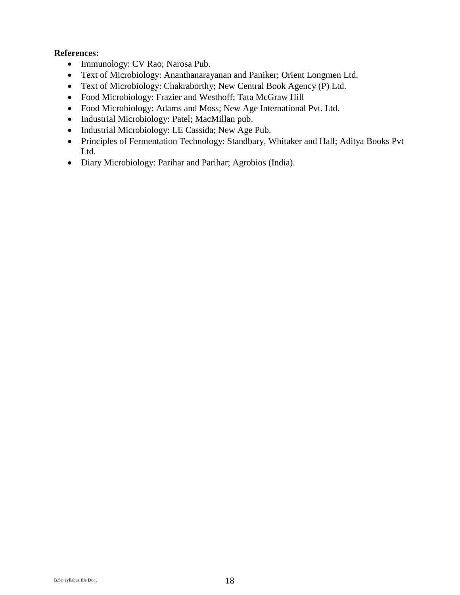- Immunology: CV Rao; Narosa Pub.
- Text of Microbiology: Ananthanarayanan and Paniker; Orient Longmen Ltd.
- Text of Microbiology: Chakraborthy; New Central Book Agency (P) Ltd.
- Food Microbiology: Frazier and Westhoff; Tata McGraw Hill
- Food Microbiology: Adams and Moss; New Age International Pvt. Ltd.
- Industrial Microbiology: Patel; MacMillan pub.
- Industrial Microbiology: LE Cassida; New Age Pub.
- Principles of Fermentation Technology: Standbary, Whitaker and Hall; Aditya Books Pvt Ltd.
- Diary Microbiology: Parihar and Parihar; Agrobios (India).